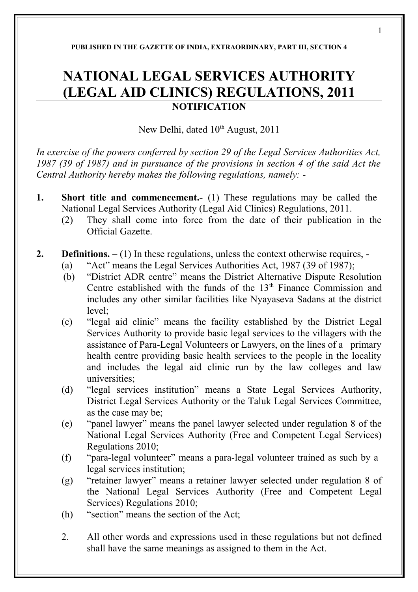## **PUBLISHED IN THE GAZETTE OF INDIA, EXTRAORDINARY, PART III, SECTION 4**

## **NATIONAL LEGAL SERVICES AUTHORITY (LEGAL AID CLINICS) REGULATIONS, 2011 NOTIFICATION**

New Delhi, dated 10<sup>th</sup> August, 2011

*In exercise of the powers conferred by section 29 of the Legal Services Authorities Act, 1987 (39 of 1987) and in pursuance of the provisions in section 4 of the said Act the Central Authority hereby makes the following regulations, namely: -* 

- **1. Short title and commencement.** (1) These regulations may be called the National Legal Services Authority (Legal Aid Clinics) Regulations, 2011.
	- (2) They shall come into force from the date of their publication in the Official Gazette.
- **2. Definitions. –** (1) In these regulations, unless the context otherwise requires,
	- (a) "Act" means the Legal Services Authorities Act, 1987 (39 of 1987);
	- (b) "District ADR centre" means the District Alternative Dispute Resolution Centre established with the funds of the  $13<sup>th</sup>$  Finance Commission and includes any other similar facilities like Nyayaseva Sadans at the district level;
	- (c) "legal aid clinic" means the facility established by the District Legal Services Authority to provide basic legal services to the villagers with the assistance of Para-Legal Volunteers or Lawyers, on the lines of a primary health centre providing basic health services to the people in the locality and includes the legal aid clinic run by the law colleges and law universities;
	- (d) "legal services institution" means a State Legal Services Authority, District Legal Services Authority or the Taluk Legal Services Committee, as the case may be;
	- (e) "panel lawyer" means the panel lawyer selected under regulation 8 of the National Legal Services Authority (Free and Competent Legal Services) Regulations 2010;
	- (f) "para-legal volunteer" means a para-legal volunteer trained as such by a legal services institution;
	- (g) "retainer lawyer" means a retainer lawyer selected under regulation 8 of the National Legal Services Authority (Free and Competent Legal Services) Regulations 2010;
	- (h) "section" means the section of the Act;
	- 2. All other words and expressions used in these regulations but not defined shall have the same meanings as assigned to them in the Act.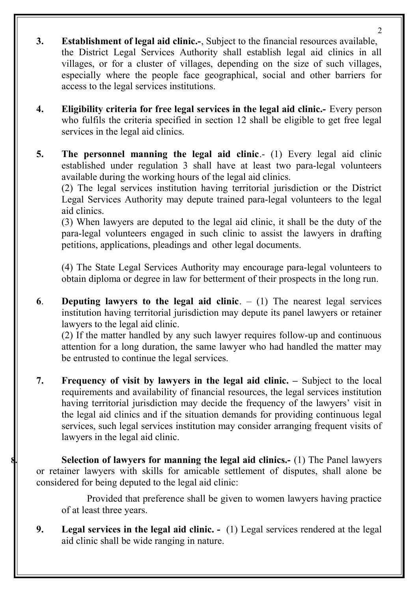**3. Establishment of legal aid clinic.-**, Subject to the financial resources available, the District Legal Services Authority shall establish legal aid clinics in all villages, or for a cluster of villages, depending on the size of such villages, especially where the people face geographical, social and other barriers for access to the legal services institutions.

 $\mathcal{D}$ 

- **4. Eligibility criteria for free legal services in the legal aid clinic.-** Every person who fulfils the criteria specified in section 12 shall be eligible to get free legal services in the legal aid clinics.
- **5.** The personnel manning the legal aid clinic.- (1) Every legal aid clinic established under regulation 3 shall have at least two para-legal volunteers available during the working hours of the legal aid clinics.

(2) The legal services institution having territorial jurisdiction or the District Legal Services Authority may depute trained para-legal volunteers to the legal aid clinics.

(3) When lawyers are deputed to the legal aid clinic, it shall be the duty of the para-legal volunteers engaged in such clinic to assist the lawyers in drafting petitions, applications, pleadings and other legal documents.

(4) The State Legal Services Authority may encourage para-legal volunteers to obtain diploma or degree in law for betterment of their prospects in the long run.

**6**. **Deputing lawyers to the legal aid clinic**. – (1) The nearest legal services institution having territorial jurisdiction may depute its panel lawyers or retainer lawyers to the legal aid clinic.

(2) If the matter handled by any such lawyer requires follow-up and continuous attention for a long duration, the same lawyer who had handled the matter may be entrusted to continue the legal services.

**7. Frequency of visit by lawyers in the legal aid clinic. –** Subject to the local requirements and availability of financial resources, the legal services institution having territorial jurisdiction may decide the frequency of the lawyers' visit in the legal aid clinics and if the situation demands for providing continuous legal services, such legal services institution may consider arranging frequent visits of lawyers in the legal aid clinic.

**8. Selection of lawyers for manning the legal aid clinics.-** (1) The Panel lawyers or retainer lawyers with skills for amicable settlement of disputes, shall alone be considered for being deputed to the legal aid clinic:

Provided that preference shall be given to women lawyers having practice of at least three years.

**9. Legal services in the legal aid clinic. -** (1) Legal services rendered at the legal aid clinic shall be wide ranging in nature.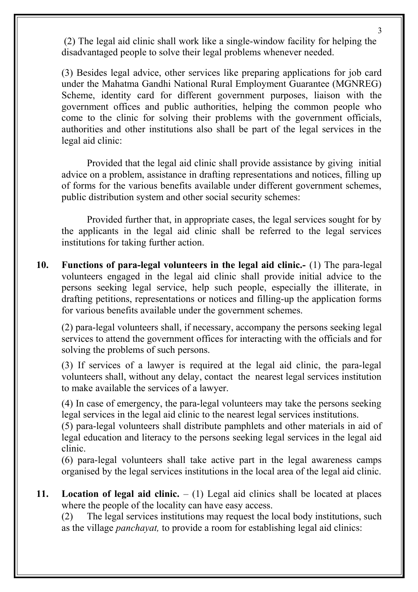(2) The legal aid clinic shall work like a single-window facility for helping the disadvantaged people to solve their legal problems whenever needed.

(3) Besides legal advice, other services like preparing applications for job card under the Mahatma Gandhi National Rural Employment Guarantee (MGNREG) Scheme, identity card for different government purposes, liaison with the government offices and public authorities, helping the common people who come to the clinic for solving their problems with the government officials, authorities and other institutions also shall be part of the legal services in the legal aid clinic:

Provided that the legal aid clinic shall provide assistance by giving initial advice on a problem, assistance in drafting representations and notices, filling up of forms for the various benefits available under different government schemes, public distribution system and other social security schemes:

Provided further that, in appropriate cases, the legal services sought for by the applicants in the legal aid clinic shall be referred to the legal services institutions for taking further action.

**10. Functions of para-legal volunteers in the legal aid clinic.-** (1) The para-legal volunteers engaged in the legal aid clinic shall provide initial advice to the persons seeking legal service, help such people, especially the illiterate, in drafting petitions, representations or notices and filling-up the application forms for various benefits available under the government schemes.

 (2) para-legal volunteers shall, if necessary, accompany the persons seeking legal services to attend the government offices for interacting with the officials and for solving the problems of such persons.

(3) If services of a lawyer is required at the legal aid clinic, the para-legal volunteers shall, without any delay, contact the nearest legal services institution to make available the services of a lawyer.

(4) In case of emergency, the para-legal volunteers may take the persons seeking legal services in the legal aid clinic to the nearest legal services institutions.

(5) para-legal volunteers shall distribute pamphlets and other materials in aid of legal education and literacy to the persons seeking legal services in the legal aid clinic.

(6) para-legal volunteers shall take active part in the legal awareness camps organised by the legal services institutions in the local area of the legal aid clinic.

**11. Location of legal aid clinic.** – (1) Legal aid clinics shall be located at places where the people of the locality can have easy access.

(2) The legal services institutions may request the local body institutions, such as the village *panchayat,* to provide a room for establishing legal aid clinics:

3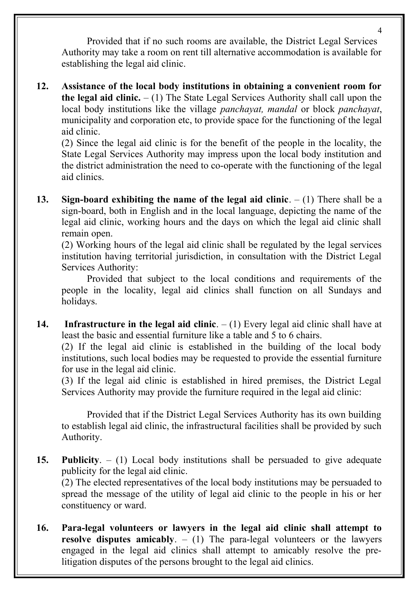Provided that if no such rooms are available, the District Legal Services Authority may take a room on rent till alternative accommodation is available for establishing the legal aid clinic.

**12. Assistance of the local body institutions in obtaining a convenient room for the legal aid clinic.** – (1) The State Legal Services Authority shall call upon the local body institutions like the village *panchayat, mandal* or block *panchayat*, municipality and corporation etc, to provide space for the functioning of the legal aid clinic.

(2) Since the legal aid clinic is for the benefit of the people in the locality, the State Legal Services Authority may impress upon the local body institution and the district administration the need to co-operate with the functioning of the legal aid clinics.

**13. Sign-board exhibiting the name of the legal aid clinic**. – (1) There shall be a sign-board, both in English and in the local language, depicting the name of the legal aid clinic, working hours and the days on which the legal aid clinic shall remain open.

(2) Working hours of the legal aid clinic shall be regulated by the legal services institution having territorial jurisdiction, in consultation with the District Legal Services Authority:

Provided that subject to the local conditions and requirements of the people in the locality, legal aid clinics shall function on all Sundays and holidays.

**14. Infrastructure in the legal aid clinic**. – (1) Every legal aid clinic shall have at least the basic and essential furniture like a table and 5 to 6 chairs.

(2) If the legal aid clinic is established in the building of the local body institutions, such local bodies may be requested to provide the essential furniture for use in the legal aid clinic.

(3) If the legal aid clinic is established in hired premises, the District Legal Services Authority may provide the furniture required in the legal aid clinic:

Provided that if the District Legal Services Authority has its own building to establish legal aid clinic, the infrastructural facilities shall be provided by such Authority.

**15. Publicity**. – (1) Local body institutions shall be persuaded to give adequate publicity for the legal aid clinic.

(2) The elected representatives of the local body institutions may be persuaded to spread the message of the utility of legal aid clinic to the people in his or her constituency or ward.

**16. Para-legal volunteers or lawyers in the legal aid clinic shall attempt to resolve disputes amicably**. – (1) The para-legal volunteers or the lawyers engaged in the legal aid clinics shall attempt to amicably resolve the prelitigation disputes of the persons brought to the legal aid clinics.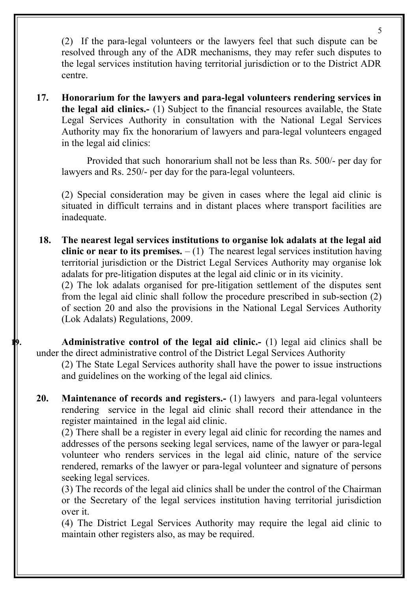(2)If the para-legal volunteers or the lawyers feel that such dispute can be resolved through any of the ADR mechanisms, they may refer such disputes to the legal services institution having territorial jurisdiction or to the District ADR centre.

**17. Honorarium for the lawyers and para-legal volunteers rendering services in the legal aid clinics.-** (1) Subject to the financial resources available, the State Legal Services Authority in consultation with the National Legal Services Authority may fix the honorarium of lawyers and para-legal volunteers engaged in the legal aid clinics:

Provided that such honorarium shall not be less than Rs. 500/- per day for lawyers and Rs. 250/- per day for the para-legal volunteers.

(2) Special consideration may be given in cases where the legal aid clinic is situated in difficult terrains and in distant places where transport facilities are inadequate.

 **18. The nearest legal services institutions to organise lok adalats at the legal aid clinic or near to its premises.**  $- (1)$  The nearest legal services institution having territorial jurisdiction or the District Legal Services Authority may organise lok adalats for pre-litigation disputes at the legal aid clinic or in its vicinity. (2) The lok adalats organised for pre-litigation settlement of the disputes sent

from the legal aid clinic shall follow the procedure prescribed in sub-section (2) of section 20 and also the provisions in the National Legal Services Authority (Lok Adalats) Regulations, 2009.

**19. Administrative control of the legal aid clinic.-** (1) legal aid clinics shall be under the direct administrative control of the District Legal Services Authority

(2) The State Legal Services authority shall have the power to issue instructions and guidelines on the working of the legal aid clinics.

**20. Maintenance of records and registers.-** (1) lawyers and para-legal volunteers rendering service in the legal aid clinic shall record their attendance in the register maintained in the legal aid clinic.

(2) There shall be a register in every legal aid clinic for recording the names and addresses of the persons seeking legal services, name of the lawyer or para-legal volunteer who renders services in the legal aid clinic, nature of the service rendered, remarks of the lawyer or para-legal volunteer and signature of persons seeking legal services.

(3) The records of the legal aid clinics shall be under the control of the Chairman or the Secretary of the legal services institution having territorial jurisdiction over it.

(4) The District Legal Services Authority may require the legal aid clinic to maintain other registers also, as may be required.

5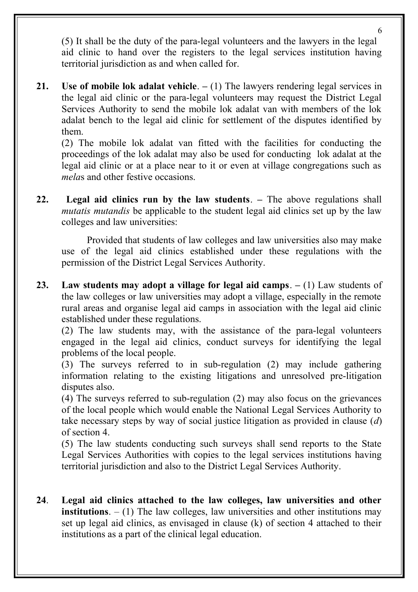(5) It shall be the duty of the para-legal volunteers and the lawyers in the legal aid clinic to hand over the registers to the legal services institution having territorial jurisdiction as and when called for.

**21. Use of mobile lok adalat vehicle**. **–** (1) The lawyers rendering legal services in the legal aid clinic or the para-legal volunteers may request the District Legal Services Authority to send the mobile lok adalat van with members of the lok adalat bench to the legal aid clinic for settlement of the disputes identified by them.

(2) The mobile lok adalat van fitted with the facilities for conducting the proceedings of the lok adalat may also be used for conducting lok adalat at the legal aid clinic or at a place near to it or even at village congregations such as *mela*s and other festive occasions.

**22. Legal aid clinics run by the law students**. **–** The above regulations shall *mutatis mutandis* be applicable to the student legal aid clinics set up by the law colleges and law universities:

Provided that students of law colleges and law universities also may make use of the legal aid clinics established under these regulations with the permission of the District Legal Services Authority.

**23. Law students may adopt a village for legal aid camps**. **–** (1) Law students of the law colleges or law universities may adopt a village, especially in the remote rural areas and organise legal aid camps in association with the legal aid clinic established under these regulations.

(2) The law students may, with the assistance of the para-legal volunteers engaged in the legal aid clinics, conduct surveys for identifying the legal problems of the local people.

(3) The surveys referred to in sub-regulation (2) may include gathering information relating to the existing litigations and unresolved pre-litigation disputes also.

(4) The surveys referred to sub-regulation (2) may also focus on the grievances of the local people which would enable the National Legal Services Authority to take necessary steps by way of social justice litigation as provided in clause (*d*) of section 4.

(5) The law students conducting such surveys shall send reports to the State Legal Services Authorities with copies to the legal services institutions having territorial jurisdiction and also to the District Legal Services Authority.

**24**. **Legal aid clinics attached to the law colleges, law universities and other institutions**.  $- (1)$  The law colleges, law universities and other institutions may set up legal aid clinics, as envisaged in clause (k) of section 4 attached to their institutions as a part of the clinical legal education.

6